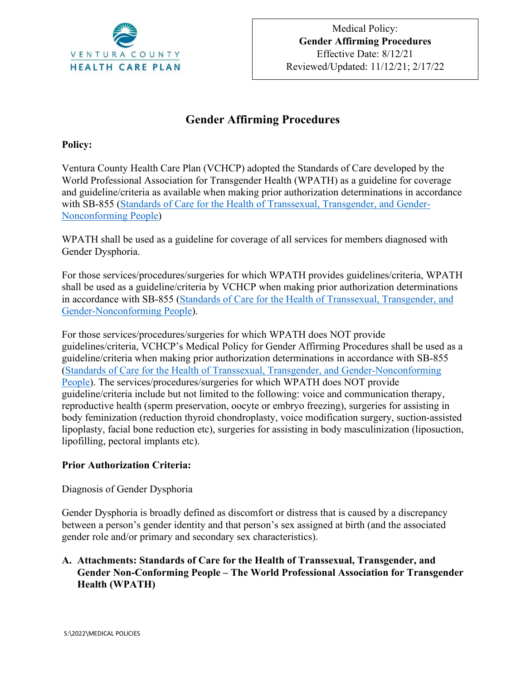

# **Gender Affirming Procedures**

#### **Policy:**

Ventura County Health Care Plan (VCHCP) adopted the Standards of Care developed by the World Professional Association for Transgender Health (WPATH) as a guideline for coverage and guideline/criteria as available when making prior authorization determinations in accordance with SB-855 [\(Standards of Care for the Health of Transsexual, Transgender, and Gender-](https://www.wpath.org/media/cms/Documents/SOC%20v7/SOC%20V7_English2012.pdf?_t=1613669341)[Nonconforming People\)](https://www.wpath.org/media/cms/Documents/SOC%20v7/SOC%20V7_English2012.pdf?_t=1613669341)

WPATH shall be used as a guideline for coverage of all services for members diagnosed with Gender Dysphoria.

For those services/procedures/surgeries for which WPATH provides guidelines/criteria, WPATH shall be used as a guideline/criteria by VCHCP when making prior authorization determinations in accordance with SB-855 [\(Standards of Care for the Health of Transsexual, Transgender, and](https://www.wpath.org/media/cms/Documents/SOC%20v7/SOC%20V7_English2012.pdf?_t=1613669341)  [Gender-Nonconforming People\)](https://www.wpath.org/media/cms/Documents/SOC%20v7/SOC%20V7_English2012.pdf?_t=1613669341).

For those services/procedures/surgeries for which WPATH does NOT provide guidelines/criteria, VCHCP's Medical Policy for Gender Affirming Procedures shall be used as a guideline/criteria when making prior authorization determinations in accordance with SB-855 [\(Standards of Care for the Health of Transsexual, Transgender, and Gender-Nonconforming](https://www.wpath.org/media/cms/Documents/SOC%20v7/SOC%20V7_English2012.pdf?_t=1613669341)  [People\)](https://www.wpath.org/media/cms/Documents/SOC%20v7/SOC%20V7_English2012.pdf?_t=1613669341). The services/procedures/surgeries for which WPATH does NOT provide guideline/criteria include but not limited to the following: voice and communication therapy, reproductive health (sperm preservation, oocyte or embryo freezing), surgeries for assisting in body feminization (reduction thyroid chondroplasty, voice modification surgery, suction-assisted lipoplasty, facial bone reduction etc), surgeries for assisting in body masculinization (liposuction, lipofilling, pectoral implants etc).

#### **Prior Authorization Criteria:**

#### Diagnosis of Gender Dysphoria

Gender Dysphoria is broadly defined as discomfort or distress that is caused by a discrepancy between a person's gender identity and that person's sex assigned at birth (and the associated gender role and/or primary and secondary sex characteristics).

#### **A. Attachments: Standards of Care for the Health of Transsexual, Transgender, and Gender Non-Conforming People – The World Professional Association for Transgender Health (WPATH)**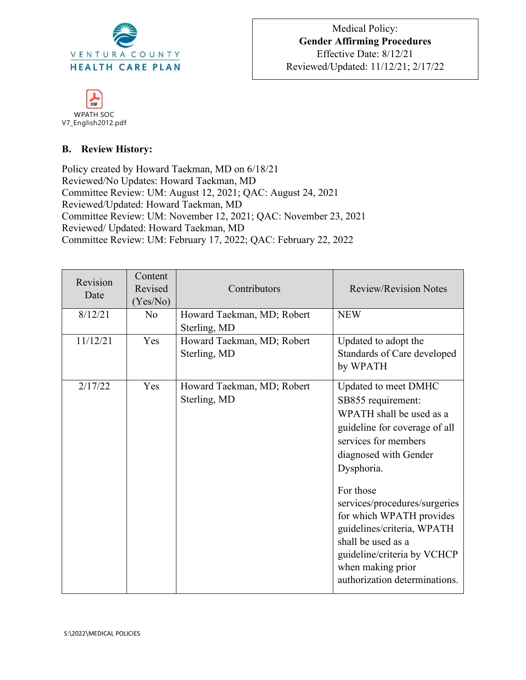



### **B. Review History:**

Policy created by Howard Taekman, MD on 6/18/21 Reviewed/No Updates: Howard Taekman, MD Committee Review: UM: August 12, 2021; QAC: August 24, 2021 Reviewed/Updated: Howard Taekman, MD Committee Review: UM: November 12, 2021; QAC: November 23, 2021 Reviewed/ Updated: Howard Taekman, MD Committee Review: UM: February 17, 2022; QAC: February 22, 2022

| Revision<br>Date | Content<br>Revised<br>(Yes/No) | Contributors                               | <b>Review/Revision Notes</b>                                                                                                                                                                                                                                                                                                                                                              |
|------------------|--------------------------------|--------------------------------------------|-------------------------------------------------------------------------------------------------------------------------------------------------------------------------------------------------------------------------------------------------------------------------------------------------------------------------------------------------------------------------------------------|
| 8/12/21          | N <sub>o</sub>                 | Howard Taekman, MD; Robert<br>Sterling, MD | <b>NEW</b>                                                                                                                                                                                                                                                                                                                                                                                |
| 11/12/21         | Yes                            | Howard Taekman, MD; Robert<br>Sterling, MD | Updated to adopt the<br>Standards of Care developed<br>by WPATH                                                                                                                                                                                                                                                                                                                           |
| 2/17/22          | Yes                            | Howard Taekman, MD; Robert<br>Sterling, MD | Updated to meet DMHC<br>SB855 requirement:<br>WPATH shall be used as a<br>guideline for coverage of all<br>services for members<br>diagnosed with Gender<br>Dysphoria.<br>For those<br>services/procedures/surgeries<br>for which WPATH provides<br>guidelines/criteria, WPATH<br>shall be used as a<br>guideline/criteria by VCHCP<br>when making prior<br>authorization determinations. |